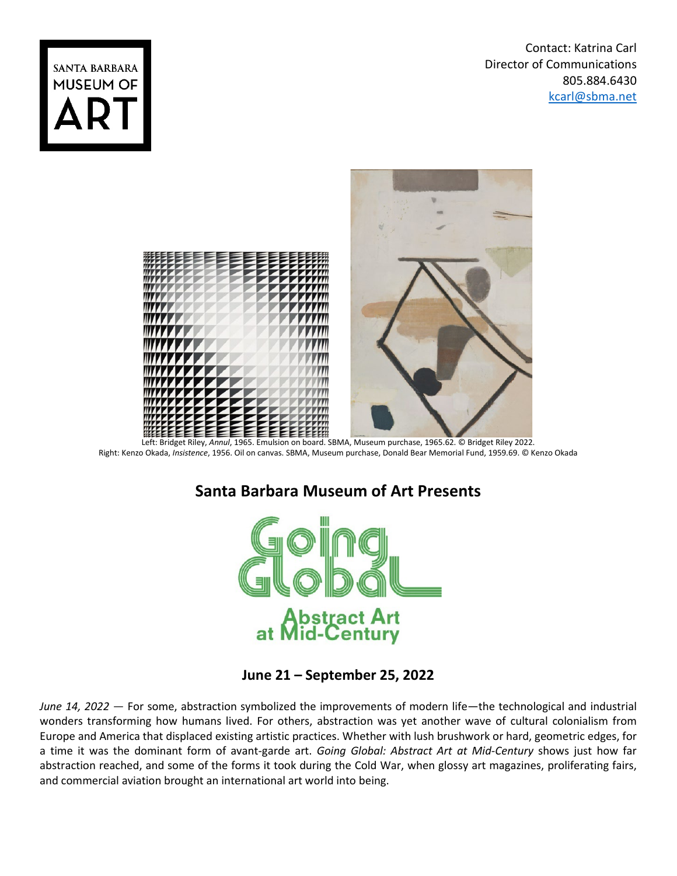Contact: Katrina Carl Director of Communications 805.884.6430 [kcarl@sbma.net](mailto:kcarl@sbma.net)





 Left: Bridget Riley, *Annul*, 1965. Emulsion on board. SBMA, Museum purchase, 1965.62. © Bridget Riley 2022. Right: Kenzo Okada, *Insistence*, 1956. Oil on canvas. SBMA, Museum purchase, Donald Bear Memorial Fund, 1959.69. © Kenzo Okada

## **Santa Barbara Museum of Art Presents**



**June 21 – September 25, 2022**

*June 14, 2022* — For some, abstraction symbolized the improvements of modern life—the technological and industrial wonders transforming how humans lived. For others, abstraction was yet another wave of cultural colonialism from Europe and America that displaced existing artistic practices. Whether with lush brushwork or hard, geometric edges, for a time it was the dominant form of avant-garde art. *Going Global: Abstract Art at Mid-Century* shows just how far abstraction reached, and some of the forms it took during the Cold War, when glossy art magazines, proliferating fairs, and commercial aviation brought an international art world into being.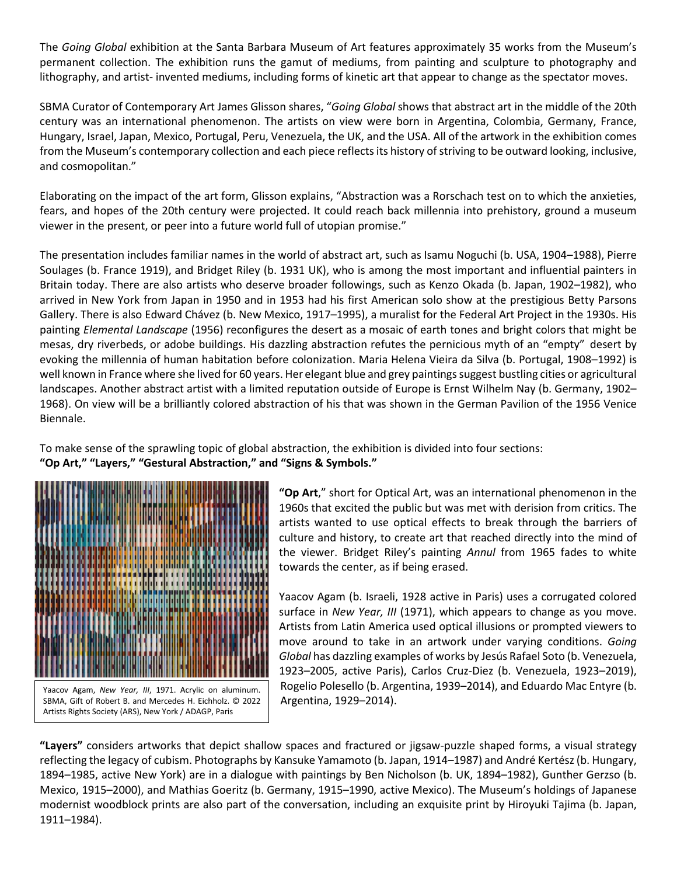The *Going Global* exhibition at the Santa Barbara Museum of Art features approximately 35 works from the Museum's permanent collection. The exhibition runs the gamut of mediums, from painting and sculpture to photography and lithography, and artist- invented mediums, including forms of kinetic art that appear to change as the spectator moves.

SBMA Curator of Contemporary Art James Glisson shares, "*Going Global* shows that abstract art in the middle of the 20th century was an international phenomenon. The artists on view were born in Argentina, Colombia, Germany, France, Hungary, Israel, Japan, Mexico, Portugal, Peru, Venezuela, the UK, and the USA. All of the artwork in the exhibition comes from the Museum's contemporary collection and each piece reflects its history of striving to be outward looking, inclusive, and cosmopolitan."

Elaborating on the impact of the art form, Glisson explains, "Abstraction was a Rorschach test on to which the anxieties, fears, and hopes of the 20th century were projected. It could reach back millennia into prehistory, ground a museum viewer in the present, or peer into a future world full of utopian promise."

The presentation includes familiar names in the world of abstract art, such as Isamu Noguchi (b. USA, 1904–1988), Pierre Soulages (b. France 1919), and Bridget Riley (b. 1931 UK), who is among the most important and influential painters in Britain today. There are also artists who deserve broader followings, such as Kenzo Okada (b. Japan, 1902–1982), who arrived in New York from Japan in 1950 and in 1953 had his first American solo show at the prestigious Betty Parsons Gallery. There is also Edward Chávez (b. New Mexico, 1917–1995), a muralist for the Federal Art Project in the 1930s. His painting *Elemental Landscape* (1956) reconfigures the desert as a mosaic of earth tones and bright colors that might be mesas, dry riverbeds, or adobe buildings. His dazzling abstraction refutes the pernicious myth of an "empty" desert by evoking the millennia of human habitation before colonization. Maria Helena Vieira da Silva (b. Portugal, 1908–1992) is well known in France where she lived for 60 years. Her elegant blue and grey paintings suggest bustling cities or agricultural landscapes. Another abstract artist with a limited reputation outside of Europe is Ernst Wilhelm Nay (b. Germany, 1902– 1968). On view will be a brilliantly colored abstraction of his that was shown in the German Pavilion of the 1956 Venice Biennale.

To make sense of the sprawling topic of global abstraction, the exhibition is divided into four sections: **"Op Art," "Layers," "Gestural Abstraction," and "Signs & Symbols."**



**"Op Art**," short for Optical Art, was an international phenomenon in the 1960s that excited the public but was met with derision from critics. The artists wanted to use optical effects to break through the barriers of culture and history, to create art that reached directly into the mind of the viewer. Bridget Riley's painting *Annul* from 1965 fades to white towards the center, as if being erased.

Yaacov Agam (b. Israeli, 1928 active in Paris) uses a corrugated colored surface in *New Year, III* (1971), which appears to change as you move. Artists from Latin America used optical illusions or prompted viewers to move around to take in an artwork under varying conditions. *Going Global* has dazzling examples of works by Jesús Rafael Soto (b. Venezuela, 1923–2005, active Paris), Carlos Cruz-Diez (b. Venezuela, 1923–2019), Rogelio Polesello (b. Argentina, 1939–2014), and Eduardo Mac Entyre (b. Argentina, 1929–2014).

**"Layers"** considers artworks that depict shallow spaces and fractured or jigsaw-puzzle shaped forms, a visual strategy reflecting the legacy of cubism. Photographs by Kansuke Yamamoto (b. Japan, 1914–1987) and André Kertész (b. Hungary, 1894–1985, active New York) are in a dialogue with paintings by Ben Nicholson (b. UK, 1894–1982), Gunther Gerzso (b. Mexico, 1915–2000), and Mathias Goeritz (b. Germany, 1915–1990, active Mexico). The Museum's holdings of Japanese modernist woodblock prints are also part of the conversation, including an exquisite print by Hiroyuki Tajima (b. Japan, 1911–1984).